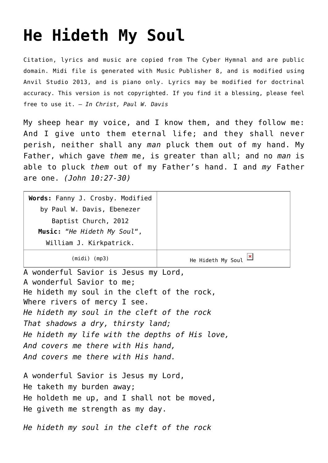## **[He Hideth My Soul](http://reproachofmen.org/hymns-and-music/he-hideth-my-soul/)**

Citation, lyrics and music are copied from [The Cyber Hymnal](http://www.hymntime.com/tch/) and are public domain. Midi file is generated with [Music Publisher 8](http://www.braeburn.co.uk/mp.htm), and is modified using [Anvil Studio 2013](http://www.anvilstudio.com/), and is piano only. Lyrics may be modified for doctrinal accuracy. This version is not copyrighted. If you find it a blessing, please feel free to use it. — *In Christ, Paul W. Davis*

My sheep hear my voice, and I know them, and they follow me: And I give unto them eternal life; and they shall never perish, neither shall any *man* pluck them out of my hand. My Father, which gave *them* me, is greater than all; and no *man* is able to pluck *them* out of my Father's hand. I and *my* Father are one. *(John 10:27-30)*

| Words: Fanny J. Crosby. Modified               |                                                   |
|------------------------------------------------|---------------------------------------------------|
| by Paul W. Davis, Ebenezer                     |                                                   |
| Baptist Church, 2012                           |                                                   |
| Music: "He Hideth My Soul",                    |                                                   |
| William J. Kirkpatrick.                        |                                                   |
| $(midi)$ (mp3)                                 | He Hideth My Soul $\frac{\mathbf{x}}{\mathbf{x}}$ |
| A wonderful Savior is Jesus my Lord,           |                                                   |
| A wonderful Savior to me;                      |                                                   |
| He hideth my soul in the cleft of the rock,    |                                                   |
| Where rivers of mercy I see.                   |                                                   |
| He hideth my soul in the cleft of the rock     |                                                   |
| That shadows a dry, thirsty land;              |                                                   |
| He hideth my life with the depths of His love, |                                                   |
| And covers me there with His hand,             |                                                   |
| And covers me there with His hand.             |                                                   |
|                                                |                                                   |
| A wonderful Savior is Jesus my Lord,           |                                                   |
| He taketh my burden away;                      |                                                   |
| He holdeth me up, and I shall not be moved,    |                                                   |
| He giveth me strength as my day.               |                                                   |
| He hideth my soul in the cleft of the rock     |                                                   |